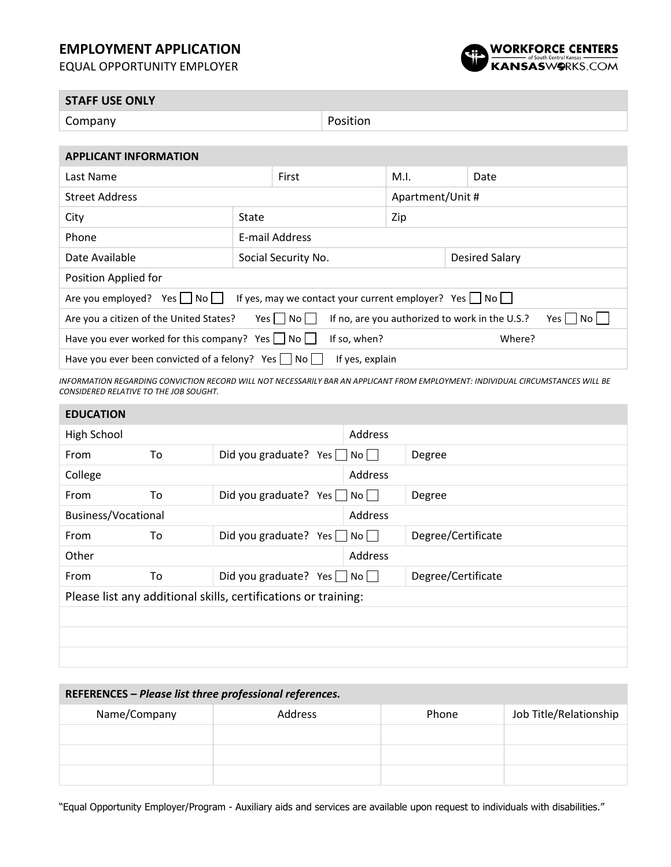## **EMPLOYMENT APPLICATION**

EQUAL OPPORTUNITY EMPLOYER



| <b>STAFF USE ONLY</b>        |          |  |  |  |
|------------------------------|----------|--|--|--|
| Company                      | Position |  |  |  |
|                              |          |  |  |  |
| <b>APPLICANT INFORMATION</b> |          |  |  |  |

| Last Name                                                                                                                                     |                                       | First | M.I.             |  | Date |  |
|-----------------------------------------------------------------------------------------------------------------------------------------------|---------------------------------------|-------|------------------|--|------|--|
| <b>Street Address</b>                                                                                                                         |                                       |       | Apartment/Unit # |  |      |  |
| City                                                                                                                                          | State                                 |       | Zip              |  |      |  |
| Phone                                                                                                                                         | E-mail Address                        |       |                  |  |      |  |
| Date Available                                                                                                                                | Social Security No.<br>Desired Salary |       |                  |  |      |  |
| Position Applied for                                                                                                                          |                                       |       |                  |  |      |  |
| If yes, may we contact your current employer? Yes $\vert$ No $\vert$  <br>Are you employed?<br>Yes     No                                     |                                       |       |                  |  |      |  |
| $Yes \mid \text{No} \mid \text{ }$<br>If no, are you authorized to work in the U.S.?<br>Are you a citizen of the United States?<br>Yes     No |                                       |       |                  |  |      |  |
| Have you ever worked for this company? Yes $\Box$ No $\Box$<br>If so, when?<br>Where?                                                         |                                       |       |                  |  |      |  |
| Have you ever been convicted of a felony? $Yes \mid \neg \neg \neg \neg \neg$<br>If yes, explain                                              |                                       |       |                  |  |      |  |

*INFORMATION REGARDING CONVICTION RECORD WILL NOT NECESSARILY BAR AN APPLICANT FROM EMPLOYMENT: INDIVIDUAL CIRCUMSTANCES WILL BE CONSIDERED RELATIVE TO THE JOB SOUGHT.*

| <b>Address</b> |  |  |  |
|----------------|--|--|--|
|                |  |  |  |
|                |  |  |  |
|                |  |  |  |
|                |  |  |  |
|                |  |  |  |
|                |  |  |  |
|                |  |  |  |
|                |  |  |  |
|                |  |  |  |
|                |  |  |  |
|                |  |  |  |
|                |  |  |  |

| REFERENCES - Please list three professional references. |         |       |                        |  |  |
|---------------------------------------------------------|---------|-------|------------------------|--|--|
| Name/Company                                            | Address | Phone | Job Title/Relationship |  |  |
|                                                         |         |       |                        |  |  |
|                                                         |         |       |                        |  |  |
|                                                         |         |       |                        |  |  |

"Equal Opportunity Employer/Program - Auxiliary aids and services are available upon request to individuals with disabilities."